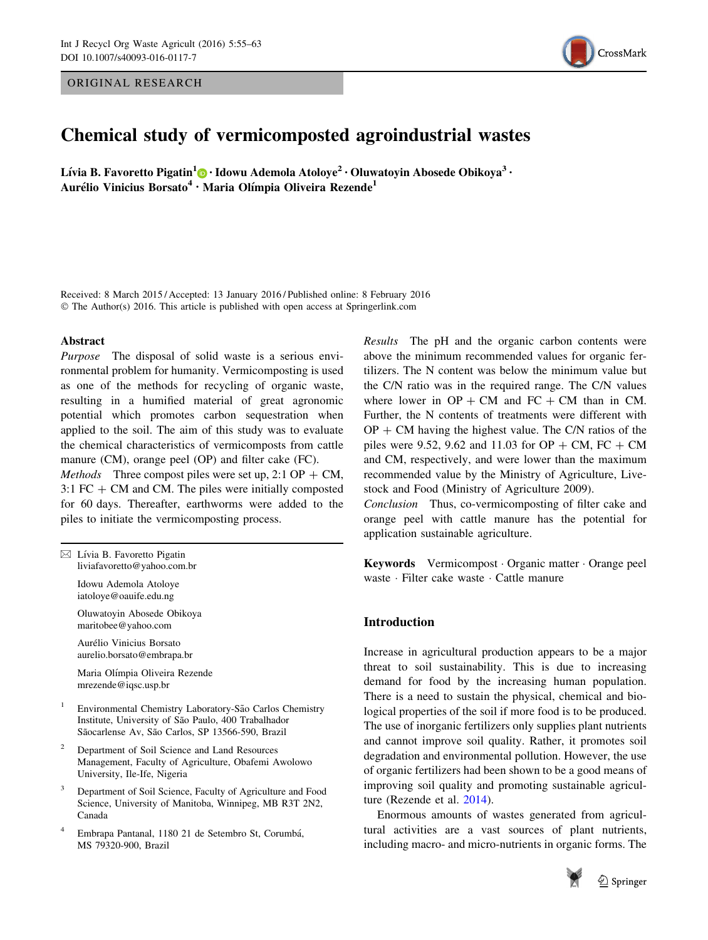ORIGINAL RESEARCH



# Chemical study of vermicomposted agroindustrial wastes

Lívia B. Favoretto Pigatin<sup>1</sup> $\odot$  Idowu Ademola Atoloye<sup>2</sup> • Oluwatoyin Abosede Obikoya<sup>3</sup> • Aurélio Vinicius Borsato<sup>4</sup> · Maria Olímpia Oliveira Rezende<sup>1</sup>

Received: 8 March 2015 / Accepted: 13 January 2016 / Published online: 8 February 2016 © The Author(s) 2016. This article is published with open access at Springerlink.com

#### Abstract

Purpose The disposal of solid waste is a serious environmental problem for humanity. Vermicomposting is used as one of the methods for recycling of organic waste, resulting in a humified material of great agronomic potential which promotes carbon sequestration when applied to the soil. The aim of this study was to evaluate the chemical characteristics of vermicomposts from cattle manure (CM), orange peel (OP) and filter cake (FC). *Methods* Three compost piles were set up,  $2:1$  OP  $+$  CM,  $3:1$  FC  $+$  CM and CM. The piles were initially composted for 60 days. Thereafter, earthworms were added to the piles to initiate the vermicomposting process.

 $\boxtimes$  Lívia B. Favoretto Pigatin liviafavoretto@yahoo.com.br

> Idowu Ademola Atoloye iatoloye@oauife.edu.ng

Oluwatoyin Abosede Obikoya maritobee@yahoo.com

Aurélio Vinicius Borsato aurelio.borsato@embrapa.br

Maria Olímpia Oliveira Rezende mrezende@iqsc.usp.br

- Environmental Chemistry Laboratory-São Carlos Chemistry Institute, University of São Paulo, 400 Trabalhador Sãocarlense Av, São Carlos, SP 13566-590, Brazil
- <sup>2</sup> Department of Soil Science and Land Resources Management, Faculty of Agriculture, Obafemi Awolowo University, Ile-Ife, Nigeria
- <sup>3</sup> Department of Soil Science, Faculty of Agriculture and Food Science, University of Manitoba, Winnipeg, MB R3T 2N2, Canada
- Embrapa Pantanal, 1180 21 de Setembro St, Corumbá, MS 79320-900, Brazil

Results The pH and the organic carbon contents were above the minimum recommended values for organic fertilizers. The N content was below the minimum value but the C/N ratio was in the required range. The C/N values where lower in  $OP + CM$  and  $FC + CM$  than in CM. Further, the N contents of treatments were different with  $OP + CM$  having the highest value. The C/N ratios of the piles were 9.52, 9.62 and 11.03 for  $OP + CM$ ,  $FC + CM$ and CM, respectively, and were lower than the maximum recommended value by the Ministry of Agriculture, Livestock and Food (Ministry of Agriculture 2009).

Conclusion Thus, co-vermicomposting of filter cake and orange peel with cattle manure has the potential for application sustainable agriculture.

Keywords Vermicompost - Organic matter - Orange peel waste - Filter cake waste - Cattle manure

# Introduction

Increase in agricultural production appears to be a major threat to soil sustainability. This is due to increasing demand for food by the increasing human population. There is a need to sustain the physical, chemical and biological properties of the soil if more food is to be produced. The use of inorganic fertilizers only supplies plant nutrients and cannot improve soil quality. Rather, it promotes soil degradation and environmental pollution. However, the use of organic fertilizers had been shown to be a good means of improving soil quality and promoting sustainable agriculture (Rezende et al. [2014\)](#page-8-0).

Enormous amounts of wastes generated from agricultural activities are a vast sources of plant nutrients, including macro- and micro-nutrients in organic forms. The

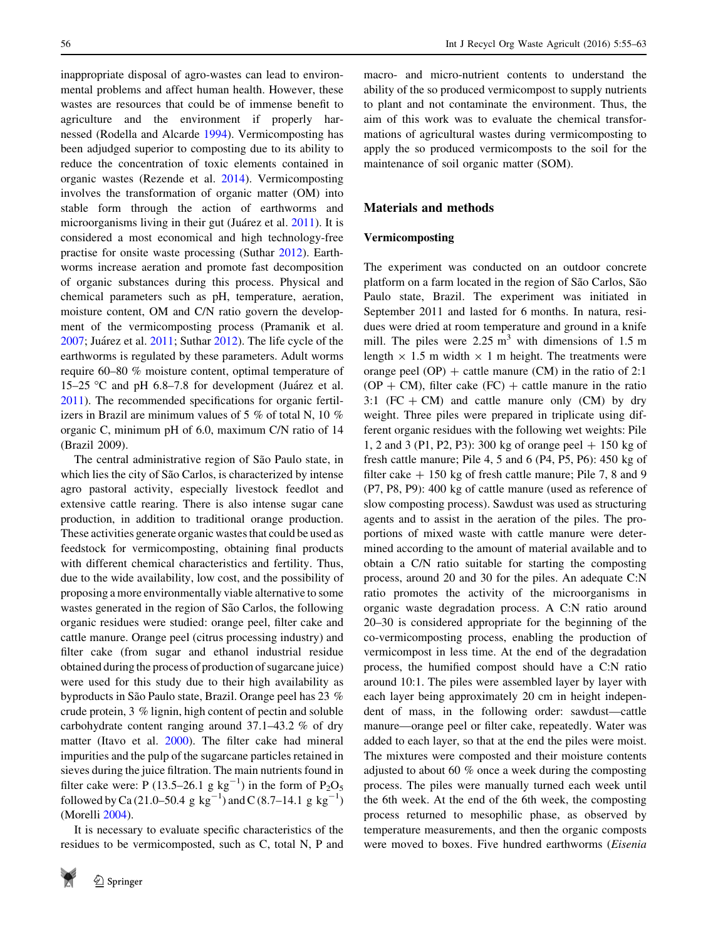inappropriate disposal of agro-wastes can lead to environmental problems and affect human health. However, these wastes are resources that could be of immense benefit to agriculture and the environment if properly harnessed (Rodella and Alcarde [1994](#page-8-0)). Vermicomposting has been adjudged superior to composting due to its ability to reduce the concentration of toxic elements contained in organic wastes (Rezende et al. [2014](#page-8-0)). Vermicomposting involves the transformation of organic matter (OM) into stable form through the action of earthworms and microorganisms living in their gut (Juárez et al. [2011](#page-8-0)). It is considered a most economical and high technology-free practise for onsite waste processing (Suthar [2012\)](#page-8-0). Earthworms increase aeration and promote fast decomposition of organic substances during this process. Physical and chemical parameters such as pH, temperature, aeration, moisture content, OM and C/N ratio govern the development of the vermicomposting process (Pramanik et al.  $2007$ ; Juárez et al.  $2011$ ; Suthar  $2012$ ). The life cycle of the earthworms is regulated by these parameters. Adult worms require 60–80 % moisture content, optimal temperature of 15–25 °C and pH 6.8–7.8 for development (Juárez et al. [2011\)](#page-8-0). The recommended specifications for organic fertilizers in Brazil are minimum values of 5 % of total N, 10 % organic C, minimum pH of 6.0, maximum C/N ratio of 14 (Brazil 2009).

The central administrative region of São Paulo state, in which lies the city of São Carlos, is characterized by intense agro pastoral activity, especially livestock feedlot and extensive cattle rearing. There is also intense sugar cane production, in addition to traditional orange production. These activities generate organic wastes that could be used as feedstock for vermicomposting, obtaining final products with different chemical characteristics and fertility. Thus, due to the wide availability, low cost, and the possibility of proposing a more environmentally viable alternative to some wastes generated in the region of São Carlos, the following organic residues were studied: orange peel, filter cake and cattle manure. Orange peel (citrus processing industry) and filter cake (from sugar and ethanol industrial residue obtained during the process of production of sugarcane juice) were used for this study due to their high availability as byproducts in São Paulo state, Brazil. Orange peel has 23 % crude protein, 3 % lignin, high content of pectin and soluble carbohydrate content ranging around 37.1–43.2 % of dry matter (Itavo et al. [2000\)](#page-8-0). The filter cake had mineral impurities and the pulp of the sugarcane particles retained in sieves during the juice filtration. The main nutrients found in filter cake were: P (13.5–26.1 g  $kg^{-1}$ ) in the form of  $P_2O_5$ followed by Ca (21.0–50.4  $\rm g\ kg^{-1}$ ) and C (8.7–14.1  $\rm g\ kg^{-1}$ ) (Morelli [2004\)](#page-8-0).

It is necessary to evaluate specific characteristics of the residues to be vermicomposted, such as C, total N, P and macro- and micro-nutrient contents to understand the ability of the so produced vermicompost to supply nutrients to plant and not contaminate the environment. Thus, the aim of this work was to evaluate the chemical transformations of agricultural wastes during vermicomposting to apply the so produced vermicomposts to the soil for the maintenance of soil organic matter (SOM).

# Materials and methods

## Vermicomposting

The experiment was conducted on an outdoor concrete platform on a farm located in the region of São Carlos, São Paulo state, Brazil. The experiment was initiated in September 2011 and lasted for 6 months. In natura, residues were dried at room temperature and ground in a knife mill. The piles were  $2.25 \text{ m}^3$  with dimensions of 1.5 m length  $\times$  1.5 m width  $\times$  1 m height. The treatments were orange peel  $(OP)$  + cattle manure  $(CM)$  in the ratio of 2:1  $(OP + CM)$ , filter cake  $(FC) +$  cattle manure in the ratio 3:1  $(FC + CM)$  and cattle manure only  $(CM)$  by dry weight. Three piles were prepared in triplicate using different organic residues with the following wet weights: Pile 1, 2 and 3 (P1, P2, P3): 300 kg of orange peel  $+$  150 kg of fresh cattle manure; Pile 4, 5 and 6 (P4, P5, P6): 450 kg of filter cake  $+150$  kg of fresh cattle manure; Pile 7, 8 and 9 (P7, P8, P9): 400 kg of cattle manure (used as reference of slow composting process). Sawdust was used as structuring agents and to assist in the aeration of the piles. The proportions of mixed waste with cattle manure were determined according to the amount of material available and to obtain a C/N ratio suitable for starting the composting process, around 20 and 30 for the piles. An adequate C:N ratio promotes the activity of the microorganisms in organic waste degradation process. A C:N ratio around 20–30 is considered appropriate for the beginning of the co-vermicomposting process, enabling the production of vermicompost in less time. At the end of the degradation process, the humified compost should have a C:N ratio around 10:1. The piles were assembled layer by layer with each layer being approximately 20 cm in height independent of mass, in the following order: sawdust—cattle manure—orange peel or filter cake, repeatedly. Water was added to each layer, so that at the end the piles were moist. The mixtures were composted and their moisture contents adjusted to about 60 % once a week during the composting process. The piles were manually turned each week until the 6th week. At the end of the 6th week, the composting process returned to mesophilic phase, as observed by temperature measurements, and then the organic composts were moved to boxes. Five hundred earthworms (Eisenia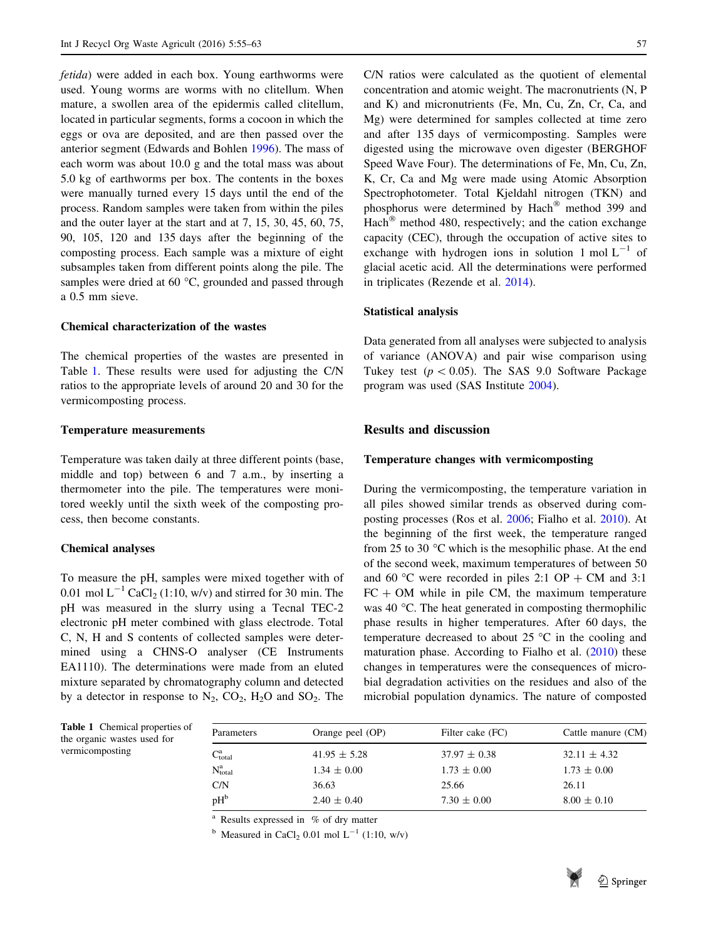<span id="page-2-0"></span>fetida) were added in each box. Young earthworms were used. Young worms are worms with no clitellum. When mature, a swollen area of the epidermis called clitellum, located in particular segments, forms a cocoon in which the eggs or ova are deposited, and are then passed over the anterior segment (Edwards and Bohlen [1996](#page-7-0)). The mass of each worm was about 10.0 g and the total mass was about 5.0 kg of earthworms per box. The contents in the boxes were manually turned every 15 days until the end of the process. Random samples were taken from within the piles and the outer layer at the start and at 7, 15, 30, 45, 60, 75, 90, 105, 120 and 135 days after the beginning of the composting process. Each sample was a mixture of eight subsamples taken from different points along the pile. The samples were dried at 60 $\degree$ C, grounded and passed through a 0.5 mm sieve.

## Chemical characterization of the wastes

The chemical properties of the wastes are presented in Table 1. These results were used for adjusting the C/N ratios to the appropriate levels of around 20 and 30 for the vermicomposting process.

#### Temperature measurements

Temperature was taken daily at three different points (base, middle and top) between 6 and 7 a.m., by inserting a thermometer into the pile. The temperatures were monitored weekly until the sixth week of the composting process, then become constants.

### Chemical analyses

To measure the pH, samples were mixed together with of 0.01 mol  $L^{-1}$  CaCl<sub>2</sub> (1:10, w/v) and stirred for 30 min. The pH was measured in the slurry using a Tecnal TEC-2 electronic pH meter combined with glass electrode. Total C, N, H and S contents of collected samples were determined using a CHNS-O analyser (CE Instruments EA1110). The determinations were made from an eluted mixture separated by chromatography column and detected by a detector in response to  $N_2$ ,  $CO_2$ ,  $H_2O$  and  $SO_2$ . The C/N ratios were calculated as the quotient of elemental concentration and atomic weight. The macronutrients (N, P and K) and micronutrients (Fe, Mn, Cu, Zn, Cr, Ca, and Mg) were determined for samples collected at time zero and after 135 days of vermicomposting. Samples were digested using the microwave oven digester (BERGHOF Speed Wave Four). The determinations of Fe, Mn, Cu, Zn, K, Cr, Ca and Mg were made using Atomic Absorption Spectrophotometer. Total Kjeldahl nitrogen (TKN) and phosphorus were determined by Hach<sup>®</sup> method 399 and Hach $^{\circledR}$  method 480, respectively; and the cation exchange capacity (CEC), through the occupation of active sites to exchange with hydrogen ions in solution 1 mol  $L^{-1}$  of glacial acetic acid. All the determinations were performed in triplicates (Rezende et al. [2014](#page-8-0)).

#### Statistical analysis

Data generated from all analyses were subjected to analysis of variance (ANOVA) and pair wise comparison using Tukey test ( $p < 0.05$ ). The SAS 9.0 Software Package program was used (SAS Institute [2004\)](#page-8-0).

# Results and discussion

#### Temperature changes with vermicomposting

During the vermicomposting, the temperature variation in all piles showed similar trends as observed during composting processes (Ros et al. [2006](#page-8-0); Fialho et al. [2010](#page-7-0)). At the beginning of the first week, the temperature ranged from 25 to 30 $\degree$ C which is the mesophilic phase. At the end of the second week, maximum temperatures of between 50 and 60 °C were recorded in piles 2:1 OP + CM and 3:1  $FC + OM$  while in pile CM, the maximum temperature was 40  $\degree$ C. The heat generated in composting thermophilic phase results in higher temperatures. After 60 days, the temperature decreased to about 25  $^{\circ}$ C in the cooling and maturation phase. According to Fialho et al. ([2010\)](#page-7-0) these changes in temperatures were the consequences of microbial degradation activities on the residues and also of the microbial population dynamics. The nature of composted

| <b>Table 1</b> Chemical properties of |
|---------------------------------------|
| the organic wastes used for           |
| vermicomposting                       |

| Parameters      | Orange peel (OP) | Filter cake (FC) | Cattle manure (CM) |  |  |
|-----------------|------------------|------------------|--------------------|--|--|
| $C_{total}^{a}$ | $41.95 \pm 5.28$ | $37.97 \pm 0.38$ | $32.11 \pm 4.32$   |  |  |
| $N_{total}^{a}$ | $1.34 \pm 0.00$  | $1.73 \pm 0.00$  | $1.73 \pm 0.00$    |  |  |
| C/N             | 36.63            | 25.66            | 26.11              |  |  |
| pH <sup>b</sup> | $2.40 \pm 0.40$  | $7.30 \pm 0.00$  | $8.00 \pm 0.10$    |  |  |
|                 |                  |                  |                    |  |  |

<sup>a</sup> Results expressed in % of dry matter

<sup>b</sup> Measured in CaCl<sub>2</sub> 0.01 mol  $L^{-1}$  (1:10, w/v)

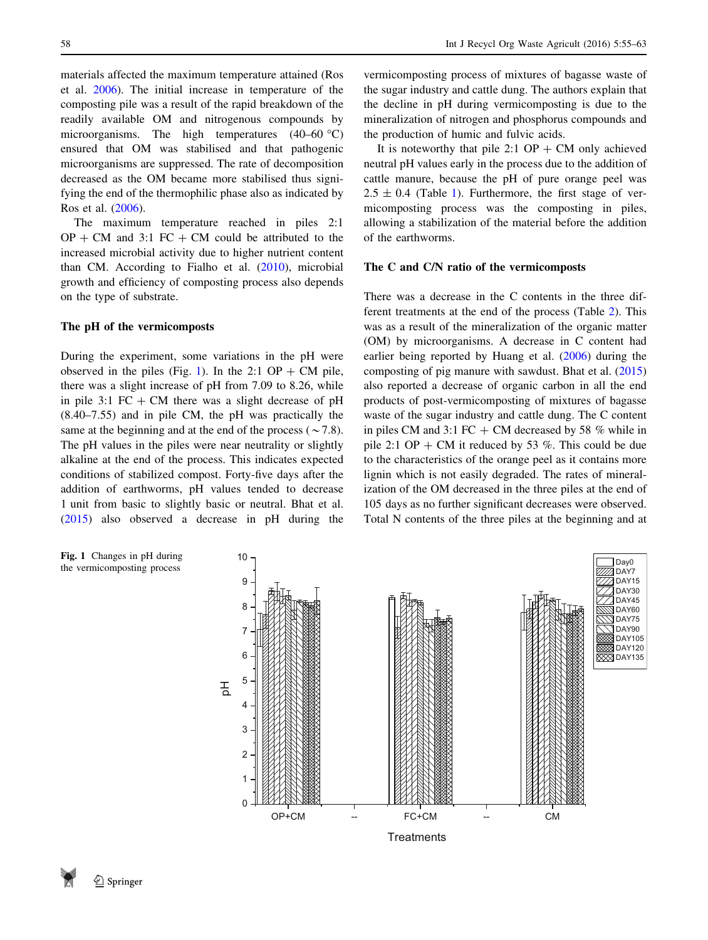materials affected the maximum temperature attained (Ros et al. [2006](#page-8-0)). The initial increase in temperature of the composting pile was a result of the rapid breakdown of the readily available OM and nitrogenous compounds by microorganisms. The high temperatures  $(40-60 \degree C)$ ensured that OM was stabilised and that pathogenic microorganisms are suppressed. The rate of decomposition decreased as the OM became more stabilised thus signifying the end of the thermophilic phase also as indicated by Ros et al. ([2006\)](#page-8-0).

The maximum temperature reached in piles 2:1  $OP + CM$  and 3:1 FC + CM could be attributed to the increased microbial activity due to higher nutrient content than CM. According to Fialho et al. ([2010\)](#page-7-0), microbial growth and efficiency of composting process also depends on the type of substrate.

#### The pH of the vermicomposts

During the experiment, some variations in the pH were observed in the piles (Fig. 1). In the 2:1 OP  $+$  CM pile, there was a slight increase of pH from 7.09 to 8.26, while in pile 3:1  $FC + CM$  there was a slight decrease of pH (8.40–7.55) and in pile CM, the pH was practically the same at the beginning and at the end of the process ( $\sim$  7.8). The pH values in the piles were near neutrality or slightly alkaline at the end of the process. This indicates expected conditions of stabilized compost. Forty-five days after the addition of earthworms, pH values tended to decrease 1 unit from basic to slightly basic or neutral. Bhat et al. [\(2015](#page-7-0)) also observed a decrease in pH during the

vermicomposting process of mixtures of bagasse waste of the sugar industry and cattle dung. The authors explain that the decline in pH during vermicomposting is due to the mineralization of nitrogen and phosphorus compounds and the production of humic and fulvic acids.

It is noteworthy that pile 2:1 OP  $+$  CM only achieved neutral pH values early in the process due to the addition of cattle manure, because the pH of pure orange peel was  $2.5 \pm 0.4$  (Table [1\)](#page-2-0). Furthermore, the first stage of vermicomposting process was the composting in piles, allowing a stabilization of the material before the addition of the earthworms.

#### The C and C/N ratio of the vermicomposts

There was a decrease in the C contents in the three different treatments at the end of the process (Table [2](#page-4-0)). This was as a result of the mineralization of the organic matter (OM) by microorganisms. A decrease in C content had earlier being reported by Huang et al. [\(2006](#page-7-0)) during the composting of pig manure with sawdust. Bhat et al. ([2015\)](#page-7-0) also reported a decrease of organic carbon in all the end products of post-vermicomposting of mixtures of bagasse waste of the sugar industry and cattle dung. The C content in piles CM and 3:1 FC  $+$  CM decreased by 58 % while in pile 2:1 OP  $+$  CM it reduced by 53 %. This could be due to the characteristics of the orange peel as it contains more lignin which is not easily degraded. The rates of mineralization of the OM decreased in the three piles at the end of 105 days as no further significant decreases were observed. Total N contents of the three piles at the beginning and at



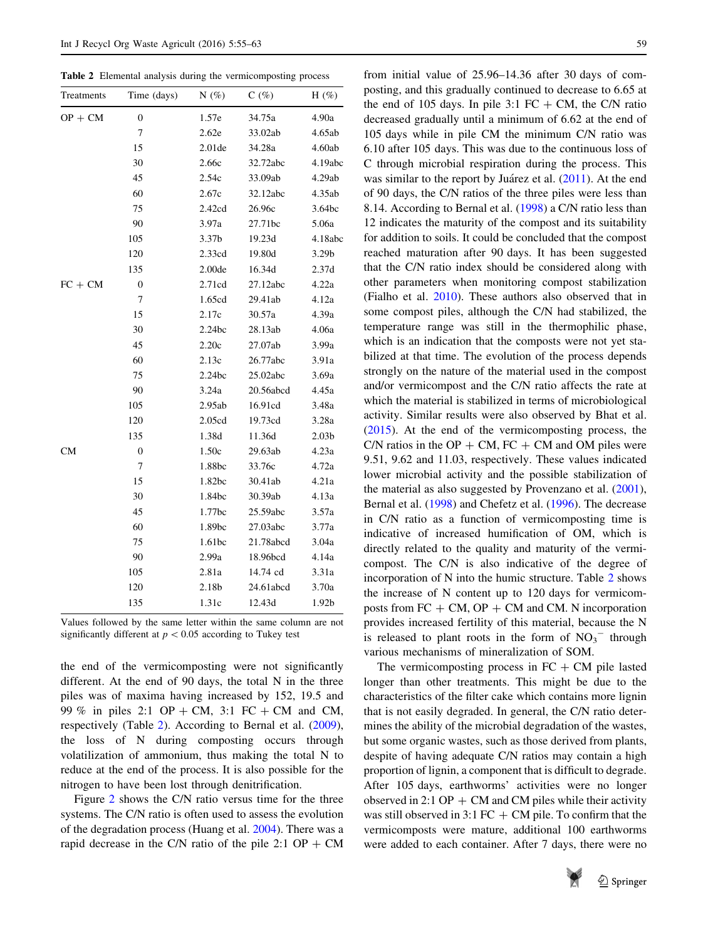<span id="page-4-0"></span>Table 2 Elemental analysis during the vermicomposting process

| Treatments | Time (days)      | $N(\%)$            | $C(\%)$   | H $(\%)$          |
|------------|------------------|--------------------|-----------|-------------------|
| $OP + CM$  | $\boldsymbol{0}$ | 1.57e              | 34.75a    | 4.90a             |
|            | 7                | 2.62e              | 33.02ab   | 4.65ab            |
|            | 15               | 2.01de             | 34.28a    | 4.60ab            |
|            | 30               | 2.66c              | 32.72abc  | 4.19abc           |
|            | 45               | 2.54c              | 33.09ab   | 4.29ab            |
|            | 60               | 2.67c              | 32.12abc  | 4.35ab            |
|            | 75               | 2.42cd             | 26.96c    | 3.64bc            |
|            | 90               | 3.97a              | 27.71bc   | 5.06a             |
|            | 105              | 3.37b              | 19.23d    | 4.18abc           |
|            | 120              | 2.33cd             | 19.80d    | 3.29b             |
|            | 135              | 2.00 <sub>de</sub> | 16.34d    | 2.37d             |
| $FC + CM$  | $\boldsymbol{0}$ | 2.71cd             | 27.12abc  | 4.22a             |
|            | $\tau$           | 1.65cd             | 29.41ab   | 4.12a             |
|            | 15               | 2.17c              | 30.57a    | 4.39a             |
|            | 30               | 2.24bc             | 28.13ab   | 4.06a             |
|            | 45               | 2.20c              | 27.07ab   | 3.99a             |
|            | 60               | 2.13c              | 26.77abc  | 3.91a             |
|            | 75               | 2.24bc             | 25.02abc  | 3.69a             |
|            | 90               | 3.24a              | 20.56abcd | 4.45a             |
|            | 105              | 2.95ab             | 16.91cd   | 3.48a             |
|            | 120              | 2.05cd             | 19.73cd   | 3.28a             |
|            | 135              | 1.38d              | 11.36d    | 2.03 <sub>b</sub> |
| CМ         | $\mathbf{0}$     | 1.50c              | 29.63ab   | 4.23a             |
|            | 7                | 1.88bc             | 33.76c    | 4.72a             |
|            | 15               | 1.82bc             | 30.41ab   | 4.21a             |
|            | 30               | 1.84bc             | 30.39ab   | 4.13a             |
|            | 45               | 1.77bc             | 25.59abc  | 3.57a             |
|            | 60               | 1.89bc             | 27.03abc  | 3.77a             |
|            | 75               | 1.61bc             | 21.78abcd | 3.04a             |
|            | 90               | 2.99a              | 18.96bcd  | 4.14a             |
|            | 105              | 2.81a              | 14.74 cd  | 3.31a             |
|            | 120              | 2.18b              | 24.61abcd | 3.70a             |
|            | 135              | 1.31c              | 12.43d    | 1.92b             |

Values followed by the same letter within the same column are not significantly different at  $p < 0.05$  according to Tukey test

the end of the vermicomposting were not significantly different. At the end of 90 days, the total N in the three piles was of maxima having increased by 152, 19.5 and 99 % in piles 2:1 OP + CM, 3:1 FC + CM and CM, respectively (Table 2). According to Bernal et al. [\(2009](#page-7-0)), the loss of N during composting occurs through volatilization of ammonium, thus making the total N to reduce at the end of the process. It is also possible for the nitrogen to have been lost through denitrification.

Figure [2](#page-5-0) shows the C/N ratio versus time for the three systems. The C/N ratio is often used to assess the evolution of the degradation process (Huang et al. [2004\)](#page-7-0). There was a rapid decrease in the C/N ratio of the pile 2:1 OP  $+$  CM from initial value of 25.96–14.36 after 30 days of composting, and this gradually continued to decrease to 6.65 at the end of 105 days. In pile 3:1  $FC + CM$ , the C/N ratio decreased gradually until a minimum of 6.62 at the end of 105 days while in pile CM the minimum C/N ratio was 6.10 after 105 days. This was due to the continuous loss of C through microbial respiration during the process. This was similar to the report by Juárez et al. ([2011\)](#page-8-0). At the end of 90 days, the C/N ratios of the three piles were less than 8.14. According to Bernal et al. [\(1998](#page-7-0)) a C/N ratio less than 12 indicates the maturity of the compost and its suitability for addition to soils. It could be concluded that the compost reached maturation after 90 days. It has been suggested that the C/N ratio index should be considered along with other parameters when monitoring compost stabilization (Fialho et al. [2010\)](#page-7-0). These authors also observed that in some compost piles, although the C/N had stabilized, the temperature range was still in the thermophilic phase, which is an indication that the composts were not yet stabilized at that time. The evolution of the process depends strongly on the nature of the material used in the compost and/or vermicompost and the C/N ratio affects the rate at which the material is stabilized in terms of microbiological activity. Similar results were also observed by Bhat et al. [\(2015](#page-7-0)). At the end of the vermicomposting process, the C/N ratios in the OP  $+$  CM, FC  $+$  CM and OM piles were 9.51, 9.62 and 11.03, respectively. These values indicated lower microbial activity and the possible stabilization of the material as also suggested by Provenzano et al. [\(2001](#page-8-0)), Bernal et al. ([1998\)](#page-7-0) and Chefetz et al. [\(1996](#page-7-0)). The decrease in C/N ratio as a function of vermicomposting time is indicative of increased humification of OM, which is directly related to the quality and maturity of the vermicompost. The C/N is also indicative of the degree of incorporation of N into the humic structure. Table 2 shows the increase of N content up to 120 days for vermicomposts from  $FC + CM$ ,  $OP + CM$  and CM. N incorporation provides increased fertility of this material, because the N is released to plant roots in the form of  $NO<sub>3</sub><sup>-</sup>$  through various mechanisms of mineralization of SOM.

The vermicomposting process in  $FC + CM$  pile lasted longer than other treatments. This might be due to the characteristics of the filter cake which contains more lignin that is not easily degraded. In general, the C/N ratio determines the ability of the microbial degradation of the wastes, but some organic wastes, such as those derived from plants, despite of having adequate C/N ratios may contain a high proportion of lignin, a component that is difficult to degrade. After 105 days, earthworms' activities were no longer observed in 2:1 OP  $+$  CM and CM piles while their activity was still observed in 3:1 FC  $+$  CM pile. To confirm that the vermicomposts were mature, additional 100 earthworms were added to each container. After 7 days, there were no

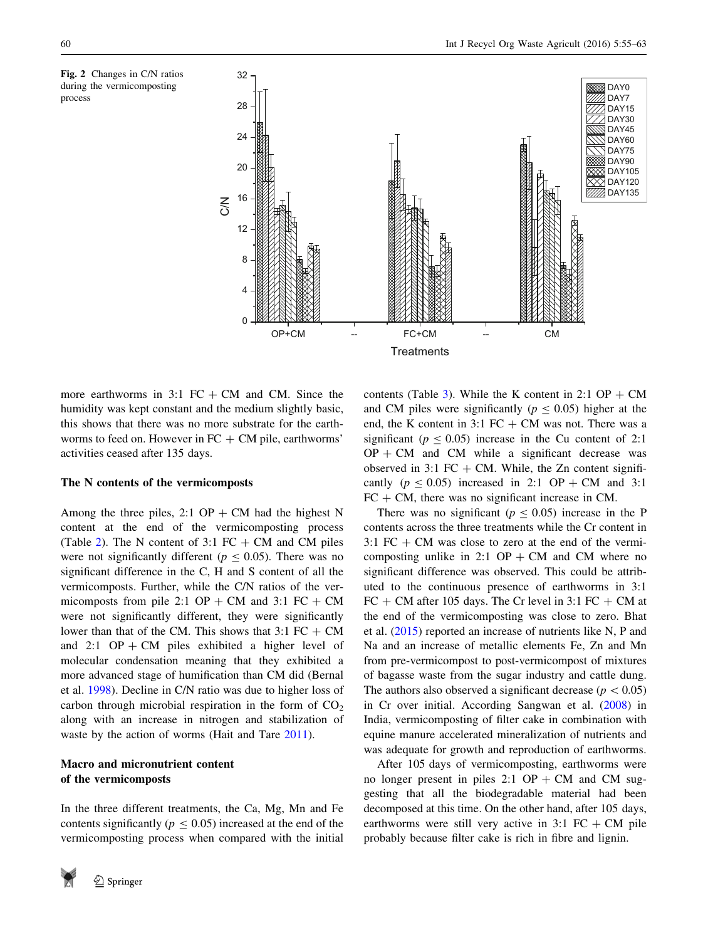<span id="page-5-0"></span>

more earthworms in 3:1  $FC + CM$  and CM. Since the humidity was kept constant and the medium slightly basic, this shows that there was no more substrate for the earthworms to feed on. However in  $FC + CM$  pile, earthworms' activities ceased after 135 days.

#### The N contents of the vermicomposts

Among the three piles, 2:1 OP  $+$  CM had the highest N content at the end of the vermicomposting process (Table [2](#page-4-0)). The N content of 3:1  $FC + CM$  and CM piles were not significantly different ( $p \le 0.05$ ). There was no significant difference in the C, H and S content of all the vermicomposts. Further, while the C/N ratios of the vermicomposts from pile 2:1 OP  $+$  CM and 3:1 FC  $+$  CM were not significantly different, they were significantly lower than that of the CM. This shows that  $3:1$  FC  $+$  CM and 2:1 OP  $+$  CM piles exhibited a higher level of molecular condensation meaning that they exhibited a more advanced stage of humification than CM did (Bernal et al. [1998\)](#page-7-0). Decline in C/N ratio was due to higher loss of carbon through microbial respiration in the form of  $CO<sub>2</sub>$ along with an increase in nitrogen and stabilization of waste by the action of worms (Hait and Tare [2011](#page-7-0)).

# Macro and micronutrient content of the vermicomposts

In the three different treatments, the Ca, Mg, Mn and Fe contents significantly ( $p \le 0.05$ ) increased at the end of the vermicomposting process when compared with the initial



contents (Table [3](#page-6-0)). While the K content in 2:1 OP  $+$  CM and CM piles were significantly ( $p \le 0.05$ ) higher at the end, the K content in  $3:1$  FC  $+$  CM was not. There was a significant ( $p < 0.05$ ) increase in the Cu content of 2:1  $OP + CM$  and CM while a significant decrease was observed in 3:1 FC  $+$  CM. While, the Zn content significantly ( $p \le 0.05$ ) increased in 2:1 OP + CM and 3:1  $FC + CM$ , there was no significant increase in CM.

There was no significant ( $p \le 0.05$ ) increase in the P contents across the three treatments while the Cr content in 3:1 FC  $+$  CM was close to zero at the end of the vermicomposting unlike in 2:1 OP  $+$  CM and CM where no significant difference was observed. This could be attributed to the continuous presence of earthworms in 3:1  $FC + CM$  after 105 days. The Cr level in 3:1  $FC + CM$  at the end of the vermicomposting was close to zero. Bhat et al. [\(2015](#page-7-0)) reported an increase of nutrients like N, P and Na and an increase of metallic elements Fe, Zn and Mn from pre-vermicompost to post-vermicompost of mixtures of bagasse waste from the sugar industry and cattle dung. The authors also observed a significant decrease ( $p<0.05$ ) in Cr over initial. According Sangwan et al. ([2008\)](#page-8-0) in India, vermicomposting of filter cake in combination with equine manure accelerated mineralization of nutrients and was adequate for growth and reproduction of earthworms.

After 105 days of vermicomposting, earthworms were no longer present in piles  $2:1$  OP  $+$  CM and CM suggesting that all the biodegradable material had been decomposed at this time. On the other hand, after 105 days, earthworms were still very active in 3:1  $FC + CM$  pile probably because filter cake is rich in fibre and lignin.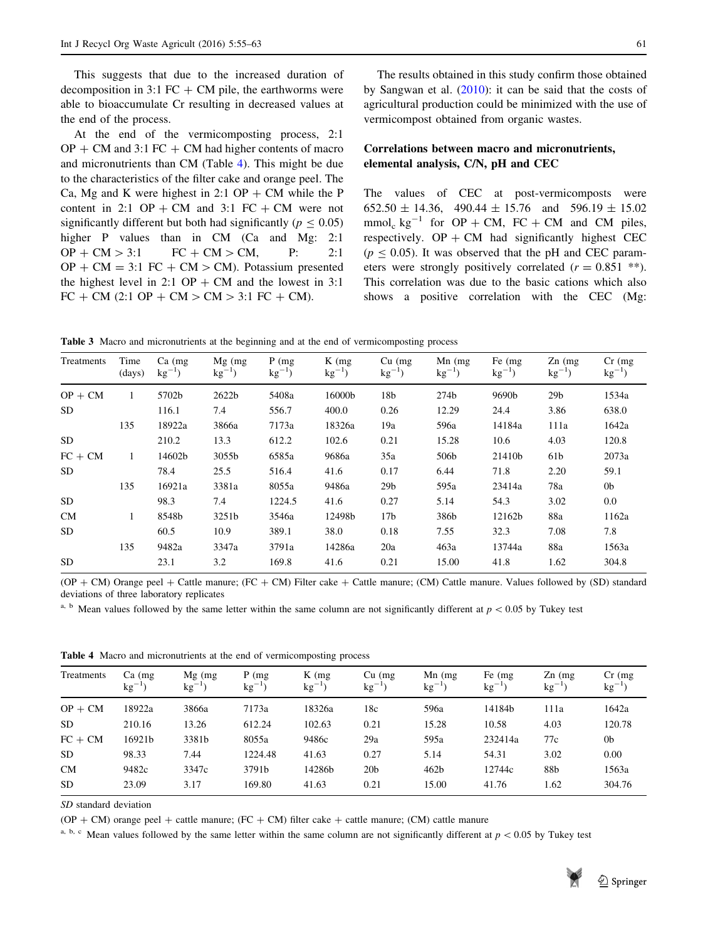<span id="page-6-0"></span>This suggests that due to the increased duration of decomposition in 3:1 FC  $+$  CM pile, the earthworms were able to bioaccumulate Cr resulting in decreased values at the end of the process.

At the end of the vermicomposting process, 2:1  $OP + CM$  and 3:1 FC  $+ CM$  had higher contents of macro and micronutrients than CM (Table 4). This might be due to the characteristics of the filter cake and orange peel. The Ca, Mg and K were highest in 2:1 OP  $+$  CM while the P content in 2:1 OP  $+$  CM and 3:1 FC  $+$  CM were not significantly different but both had significantly ( $p < 0.05$ ) higher P values than in CM (Ca and Mg: 2:1)  $OP + CM > 3:1$  FC + CM > CM, P: 2:1  $OP + CM = 3:1$   $FC + CM > CM$ . Potassium presented the highest level in 2:1 OP  $+$  CM and the lowest in 3:1  $FC + CM$  (2:1 OP + CM > CM > 3:1 FC + CM).

The results obtained in this study confirm those obtained by Sangwan et al. ([2010\)](#page-8-0): it can be said that the costs of agricultural production could be minimized with the use of vermicompost obtained from organic wastes.

# Correlations between macro and micronutrients, elemental analysis, C/N, pH and CEC

The values of CEC at post-vermicomposts were  $652.50 \pm 14.36$ ,  $490.44 \pm 15.76$  and  $596.19 \pm 15.02$ mmol<sub>c</sub> kg<sup>-1</sup> for OP + CM, FC + CM and CM piles, respectively.  $OP + CM$  had significantly highest CEC  $(p \le 0.05)$ . It was observed that the pH and CEC parameters were strongly positively correlated  $(r = 0.851$  \*\*). This correlation was due to the basic cations which also shows a positive correlation with the CEC (Mg:

Table 3 Macro and micronutrients at the beginning and at the end of vermicomposting process

| Treatments | Time<br>(days) | $Ca$ (mg)<br>$kg^{-1}$ ) | $Mg$ (mg<br>$kg^{-1}$ | $P$ (mg)<br>$kg^{-1}$ ) | $K$ (mg<br>$kg^{-1}$ ) | $Cu$ (mg)<br>$kg^{-1}$ ) | $Mn$ (mg)<br>$kg^{-1}$ | Fe (mg)<br>$kg^{-1}$ ) | $Zn$ (mg)<br>$kg^{-1}$ ) | $Cr$ (mg)<br>$kg^{-1}$ ) |
|------------|----------------|--------------------------|-----------------------|-------------------------|------------------------|--------------------------|------------------------|------------------------|--------------------------|--------------------------|
| $OP + CM$  | $\mathbf{1}$   | 5702b                    | 2622b                 | 5408a                   | 16000b                 | 18b                      | 274 <sub>b</sub>       | 9690b                  | 29b                      | 1534a                    |
| SD         |                | 116.1                    | 7.4                   | 556.7                   | 400.0                  | 0.26                     | 12.29                  | 24.4                   | 3.86                     | 638.0                    |
|            | 135            | 18922a                   | 3866a                 | 7173a                   | 18326a                 | 19a                      | 596a                   | 14184a                 | 111a                     | 1642a                    |
| SD.        |                | 210.2                    | 13.3                  | 612.2                   | 102.6                  | 0.21                     | 15.28                  | 10.6                   | 4.03                     | 120.8                    |
| $FC + CM$  | $\mathbf{1}$   | 14602b                   | 3055b                 | 6585a                   | 9686a                  | 35a                      | 506b                   | 21410b                 | 61b                      | 2073a                    |
| <b>SD</b>  |                | 78.4                     | 25.5                  | 516.4                   | 41.6                   | 0.17                     | 6.44                   | 71.8                   | 2.20                     | 59.1                     |
|            | 135            | 16921a                   | 3381a                 | 8055a                   | 9486a                  | 29 <sub>b</sub>          | 595a                   | 23414a                 | 78a                      | 0 <sub>b</sub>           |
| <b>SD</b>  |                | 98.3                     | 7.4                   | 1224.5                  | 41.6                   | 0.27                     | 5.14                   | 54.3                   | 3.02                     | 0.0                      |
| CM         | 1              | 8548b                    | 3251b                 | 3546a                   | 12498b                 | 17 <sub>b</sub>          | 386b                   | 12162b                 | 88a                      | 1162a                    |
| <b>SD</b>  |                | 60.5                     | 10.9                  | 389.1                   | 38.0                   | 0.18                     | 7.55                   | 32.3                   | 7.08                     | 7.8                      |
|            | 135            | 9482a                    | 3347a                 | 3791a                   | 14286a                 | 20a                      | 463a                   | 13744a                 | 88a                      | 1563a                    |
| SD.        |                | 23.1                     | 3.2                   | 169.8                   | 41.6                   | 0.21                     | 15.00                  | 41.8                   | 1.62                     | 304.8                    |

 $(OP + CM)$  Orange peel + Cattle manure;  $(FC + CM)$  Filter cake + Cattle manure;  $(CM)$  Cattle manure. Values followed by (SD) standard deviations of three laboratory replicates

<sup>a, b</sup> Mean values followed by the same letter within the same column are not significantly different at  $p < 0.05$  by Tukey test

Table 4 Macro and micronutrients at the end of vermicomposting process

| <b>Treatments</b> | $Ca$ (mg)<br>$kg^{-1}$ | $Mg$ (mg)<br>kg | $P$ (mg)<br>$kg^{-1}$ | $K$ (mg)<br>$kg^{-1}$ | $Cu$ (mg)<br>$kg^{-1}$ | $Mn$ (mg)<br>$kg^{-1}$ | Fe (mg)<br>$kg^{-1}$ | $Zn$ (mg)<br>$kg^{-1}$ | $Cr$ (mg)<br>$kg^{-1}$ |
|-------------------|------------------------|-----------------|-----------------------|-----------------------|------------------------|------------------------|----------------------|------------------------|------------------------|
| $OP + CM$         | 18922a                 | 3866a           | 7173a                 | 18326a                | 18c                    | 596a                   | 14184b               | 111a                   | 1642a                  |
| <b>SD</b>         | 210.16                 | 13.26           | 612.24                | 102.63                | 0.21                   | 15.28                  | 10.58                | 4.03                   | 120.78                 |
| $FC + CM$         | 16921b                 | 3381b           | 8055a                 | 9486c                 | 29a                    | 595a                   | 232414a              | 77c                    | 0 <sub>b</sub>         |
| <b>SD</b>         | 98.33                  | 7.44            | 1224.48               | 41.63                 | 0.27                   | 5.14                   | 54.31                | 3.02                   | 0.00                   |
| <b>CM</b>         | 9482c                  | 3347c           | 3791b                 | 14286b                | 20 <sub>b</sub>        | 462 <sub>b</sub>       | 12744c               | 88b                    | 1563a                  |
| <b>SD</b>         | 23.09                  | 3.17            | 169.80                | 41.63                 | 0.21                   | 15.00                  | 41.76                | 1.62                   | 304.76                 |
|                   |                        |                 |                       |                       |                        |                        |                      |                        |                        |

SD standard deviation

 $(OP + CM)$  orange peel + cattle manure;  $(FC + CM)$  filter cake + cattle manure;  $(CM)$  cattle manure

a, b, c Mean values followed by the same letter within the same column are not significantly different at  $p < 0.05$  by Tukey test

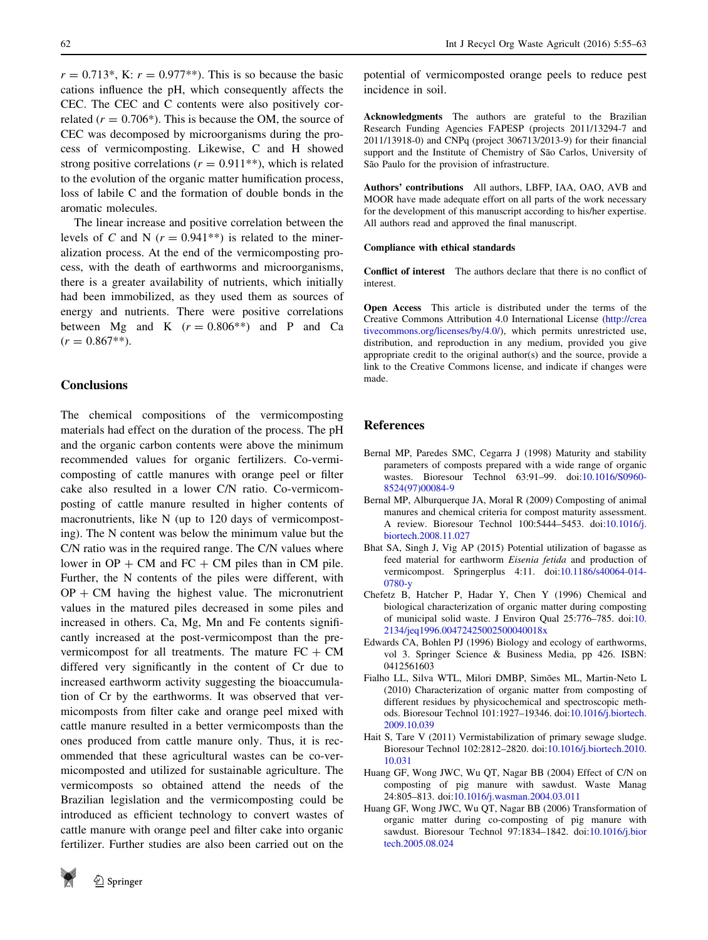<span id="page-7-0"></span> $r = 0.713$ \*, K:  $r = 0.977$ \*\*). This is so because the basic cations influence the pH, which consequently affects the CEC. The CEC and C contents were also positively correlated ( $r = 0.706^*$ ). This is because the OM, the source of CEC was decomposed by microorganisms during the process of vermicomposting. Likewise, C and H showed strong positive correlations ( $r = 0.911**$ ), which is related to the evolution of the organic matter humification process, loss of labile C and the formation of double bonds in the aromatic molecules.

The linear increase and positive correlation between the levels of C and N ( $r = 0.941**$ ) is related to the mineralization process. At the end of the vermicomposting process, with the death of earthworms and microorganisms, there is a greater availability of nutrients, which initially had been immobilized, as they used them as sources of energy and nutrients. There were positive correlations between Mg and K  $(r = 0.806^{**})$  and P and Ca  $(r = 0.867**).$ 

### **Conclusions**

The chemical compositions of the vermicomposting materials had effect on the duration of the process. The pH and the organic carbon contents were above the minimum recommended values for organic fertilizers. Co-vermicomposting of cattle manures with orange peel or filter cake also resulted in a lower C/N ratio. Co-vermicomposting of cattle manure resulted in higher contents of macronutrients, like N (up to 120 days of vermicomposting). The N content was below the minimum value but the C/N ratio was in the required range. The C/N values where lower in  $OP + CM$  and  $FC + CM$  piles than in CM pile. Further, the N contents of the piles were different, with  $OP + CM$  having the highest value. The micronutrient values in the matured piles decreased in some piles and increased in others. Ca, Mg, Mn and Fe contents significantly increased at the post-vermicompost than the prevermicompost for all treatments. The mature  $FC + CM$ differed very significantly in the content of Cr due to increased earthworm activity suggesting the bioaccumulation of Cr by the earthworms. It was observed that vermicomposts from filter cake and orange peel mixed with cattle manure resulted in a better vermicomposts than the ones produced from cattle manure only. Thus, it is recommended that these agricultural wastes can be co-vermicomposted and utilized for sustainable agriculture. The vermicomposts so obtained attend the needs of the Brazilian legislation and the vermicomposting could be introduced as efficient technology to convert wastes of cattle manure with orange peel and filter cake into organic fertilizer. Further studies are also been carried out on the

potential of vermicomposted orange peels to reduce pest incidence in soil.

Acknowledgments The authors are grateful to the Brazilian Research Funding Agencies FAPESP (projects 2011/13294-7 and 2011/13918-0) and CNPq (project 306713/2013-9) for their financial support and the Institute of Chemistry of São Carlos, University of São Paulo for the provision of infrastructure.

Authors' contributions All authors, LBFP, IAA, OAO, AVB and MOOR have made adequate effort on all parts of the work necessary for the development of this manuscript according to his/her expertise. All authors read and approved the final manuscript.

#### Compliance with ethical standards

Conflict of interest The authors declare that there is no conflict of interest.

Open Access This article is distributed under the terms of the Creative Commons Attribution 4.0 International License ([http://crea](http://creativecommons.org/licenses/by/4.0/) [tivecommons.org/licenses/by/4.0/\)](http://creativecommons.org/licenses/by/4.0/), which permits unrestricted use, distribution, and reproduction in any medium, provided you give appropriate credit to the original author(s) and the source, provide a link to the Creative Commons license, and indicate if changes were made.

## References

- Bernal MP, Paredes SMC, Cegarra J (1998) Maturity and stability parameters of composts prepared with a wide range of organic wastes. Bioresour Technol 63:91–99. doi:[10.1016/S0960-](http://dx.doi.org/10.1016/S0960-8524(97)00084-9) [8524\(97\)00084-9](http://dx.doi.org/10.1016/S0960-8524(97)00084-9)
- Bernal MP, Alburquerque JA, Moral R (2009) Composting of animal manures and chemical criteria for compost maturity assessment. A review. Bioresour Technol 100:5444–5453. doi:[10.1016/j.](http://dx.doi.org/10.1016/j.biortech.2008.11.027) [biortech.2008.11.027](http://dx.doi.org/10.1016/j.biortech.2008.11.027)
- Bhat SA, Singh J, Vig AP (2015) Potential utilization of bagasse as feed material for earthworm Eisenia fetida and production of vermicompost. Springerplus 4:11. doi:[10.1186/s40064-014-](http://dx.doi.org/10.1186/s40064-014-0780-y) [0780-y](http://dx.doi.org/10.1186/s40064-014-0780-y)
- Chefetz B, Hatcher P, Hadar Y, Chen Y (1996) Chemical and biological characterization of organic matter during composting of municipal solid waste. J Environ Qual 25:776–785. doi:[10.](http://dx.doi.org/10.2134/jeq1996.00472425002500040018x) [2134/jeq1996.00472425002500040018x](http://dx.doi.org/10.2134/jeq1996.00472425002500040018x)
- Edwards CA, Bohlen PJ (1996) Biology and ecology of earthworms, vol 3. Springer Science & Business Media, pp 426. ISBN: 0412561603
- Fialho LL, Silva WTL, Milori DMBP, Simões ML, Martin-Neto L (2010) Characterization of organic matter from composting of different residues by physicochemical and spectroscopic methods. Bioresour Technol 101:1927–19346. doi:[10.1016/j.biortech.](http://dx.doi.org/10.1016/j.biortech.2009.10.039) [2009.10.039](http://dx.doi.org/10.1016/j.biortech.2009.10.039)
- Hait S, Tare V (2011) Vermistabilization of primary sewage sludge. Bioresour Technol 102:2812–2820. doi:[10.1016/j.biortech.2010.](http://dx.doi.org/10.1016/j.biortech.2010.10.031) [10.031](http://dx.doi.org/10.1016/j.biortech.2010.10.031)
- Huang GF, Wong JWC, Wu QT, Nagar BB (2004) Effect of C/N on composting of pig manure with sawdust. Waste Manag 24:805–813. doi:[10.1016/j.wasman.2004.03.011](http://dx.doi.org/10.1016/j.wasman.2004.03.011)
- Huang GF, Wong JWC, Wu QT, Nagar BB (2006) Transformation of organic matter during co-composting of pig manure with sawdust. Bioresour Technol 97:1834–1842. doi[:10.1016/j.bior](http://dx.doi.org/10.1016/j.biortech.2005.08.024) [tech.2005.08.024](http://dx.doi.org/10.1016/j.biortech.2005.08.024)

2 Springer